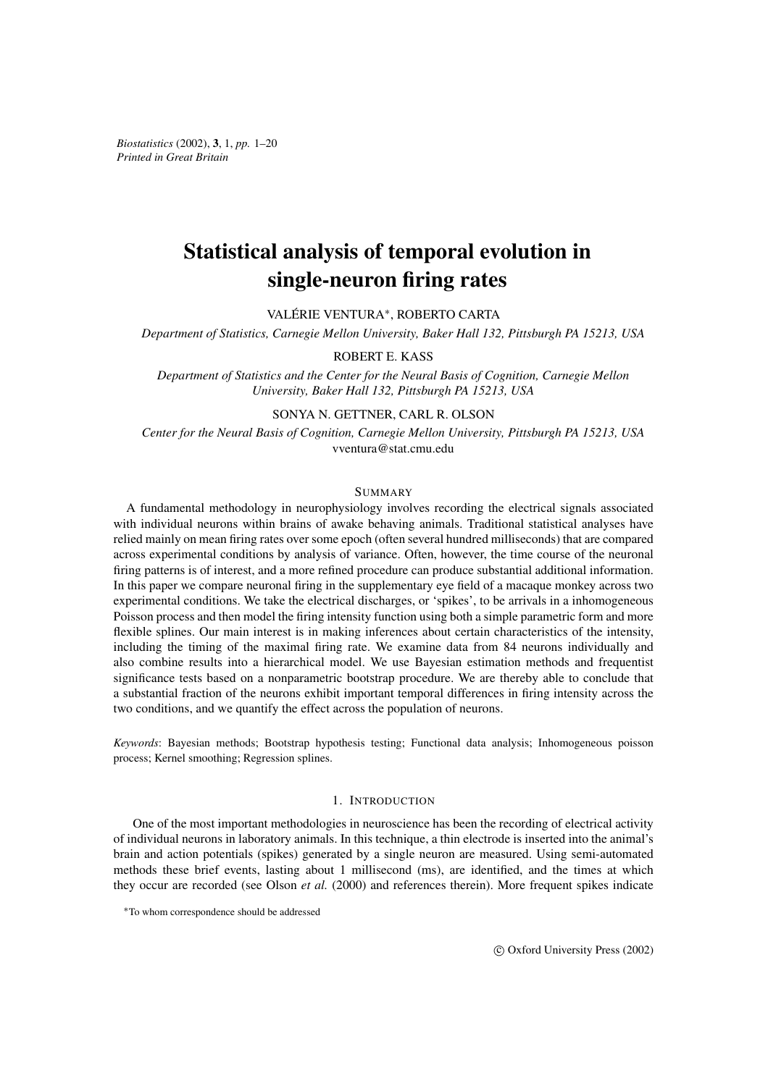*Biostatistics* (2002), **3**, 1, *pp.* 1–20 *Printed in Great Britain*

# **Statistical analysis of temporal evolution in single-neuron firing rates**

VALÉRIE VENTURA\*, ROBERTO CARTA

*Department of Statistics, Carnegie Mellon University, Baker Hall 132, Pittsburgh PA 15213, USA*

ROBERT E. KASS

*Department of Statistics and the Center for the Neural Basis of Cognition, Carnegie Mellon University, Baker Hall 132, Pittsburgh PA 15213, USA*

# SONYA N. GETTNER, CARL R. OLSON

*Center for the Neural Basis of Cognition, Carnegie Mellon University, Pittsburgh PA 15213, USA* vventura@stat.cmu.edu

#### SUMMARY

A fundamental methodology in neurophysiology involves recording the electrical signals associated with individual neurons within brains of awake behaving animals. Traditional statistical analyses have relied mainly on mean firing rates over some epoch (often several hundred milliseconds) that are compared across experimental conditions by analysis of variance. Often, however, the time course of the neuronal firing patterns is of interest, and a more refined procedure can produce substantial additional information. In this paper we compare neuronal firing in the supplementary eye field of a macaque monkey across two experimental conditions. We take the electrical discharges, or 'spikes', to be arrivals in a inhomogeneous Poisson process and then model the firing intensity function using both a simple parametric form and more flexible splines. Our main interest is in making inferences about certain characteristics of the intensity, including the timing of the maximal firing rate. We examine data from 84 neurons individually and also combine results into a hierarchical model. We use Bayesian estimation methods and frequentist significance tests based on a nonparametric bootstrap procedure. We are thereby able to conclude that a substantial fraction of the neurons exhibit important temporal differences in firing intensity across the two conditions, and we quantify the effect across the population of neurons.

*Keywords*: Bayesian methods; Bootstrap hypothesis testing; Functional data analysis; Inhomogeneous poisson process; Kernel smoothing; Regression splines.

# 1. INTRODUCTION

One of the most important methodologies in neuroscience has been the recording of electrical activity of individual neurons in laboratory animals. In this technique, a thin electrode is inserted into the animal's brain and action potentials (spikes) generated by a single neuron are measured. Using semi-automated methods these brief events, lasting about 1 millisecond (ms), are identified, and the times at which they occur are recorded (see Olson *et al.* (2000) and references therein). More frequent spikes indicate

 $\odot$  Oxford University Press (2002)

<sup>∗</sup>To whom correspondence should be addressed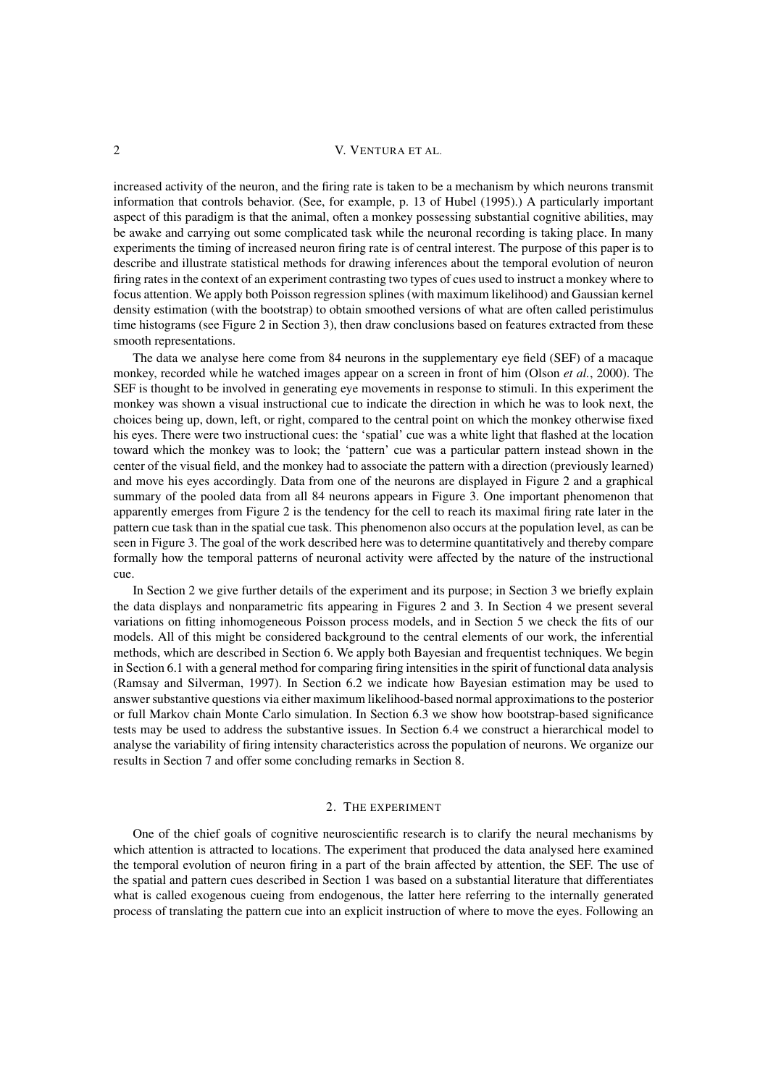increased activity of the neuron, and the firing rate is taken to be a mechanism by which neurons transmit information that controls behavior. (See, for example, p. 13 of Hubel (1995).) A particularly important aspect of this paradigm is that the animal, often a monkey possessing substantial cognitive abilities, may be awake and carrying out some complicated task while the neuronal recording is taking place. In many experiments the timing of increased neuron firing rate is of central interest. The purpose of this paper is to describe and illustrate statistical methods for drawing inferences about the temporal evolution of neuron firing rates in the context of an experiment contrasting two types of cues used to instruct a monkey where to focus attention. We apply both Poisson regression splines (with maximum likelihood) and Gaussian kernel density estimation (with the bootstrap) to obtain smoothed versions of what are often called peristimulus time histograms (see Figure 2 in Section 3), then draw conclusions based on features extracted from these smooth representations.

The data we analyse here come from 84 neurons in the supplementary eye field (SEF) of a macaque monkey, recorded while he watched images appear on a screen in front of him (Olson *et al.*, 2000). The SEF is thought to be involved in generating eye movements in response to stimuli. In this experiment the monkey was shown a visual instructional cue to indicate the direction in which he was to look next, the choices being up, down, left, or right, compared to the central point on which the monkey otherwise fixed his eyes. There were two instructional cues: the 'spatial' cue was a white light that flashed at the location toward which the monkey was to look; the 'pattern' cue was a particular pattern instead shown in the center of the visual field, and the monkey had to associate the pattern with a direction (previously learned) and move his eyes accordingly. Data from one of the neurons are displayed in Figure 2 and a graphical summary of the pooled data from all 84 neurons appears in Figure 3. One important phenomenon that apparently emerges from Figure 2 is the tendency for the cell to reach its maximal firing rate later in the pattern cue task than in the spatial cue task. This phenomenon also occurs at the population level, as can be seen in Figure 3. The goal of the work described here was to determine quantitatively and thereby compare formally how the temporal patterns of neuronal activity were affected by the nature of the instructional cue.

In Section 2 we give further details of the experiment and its purpose; in Section 3 we briefly explain the data displays and nonparametric fits appearing in Figures 2 and 3. In Section 4 we present several variations on fitting inhomogeneous Poisson process models, and in Section 5 we check the fits of our models. All of this might be considered background to the central elements of our work, the inferential methods, which are described in Section 6. We apply both Bayesian and frequentist techniques. We begin in Section 6.1 with a general method for comparing firing intensities in the spirit of functional data analysis (Ramsay and Silverman, 1997). In Section 6.2 we indicate how Bayesian estimation may be used to answer substantive questions via either maximum likelihood-based normal approximations to the posterior or full Markov chain Monte Carlo simulation. In Section 6.3 we show how bootstrap-based significance tests may be used to address the substantive issues. In Section 6.4 we construct a hierarchical model to analyse the variability of firing intensity characteristics across the population of neurons. We organize our results in Section 7 and offer some concluding remarks in Section 8.

#### 2. THE EXPERIMENT

One of the chief goals of cognitive neuroscientific research is to clarify the neural mechanisms by which attention is attracted to locations. The experiment that produced the data analysed here examined the temporal evolution of neuron firing in a part of the brain affected by attention, the SEF. The use of the spatial and pattern cues described in Section 1 was based on a substantial literature that differentiates what is called exogenous cueing from endogenous, the latter here referring to the internally generated process of translating the pattern cue into an explicit instruction of where to move the eyes. Following an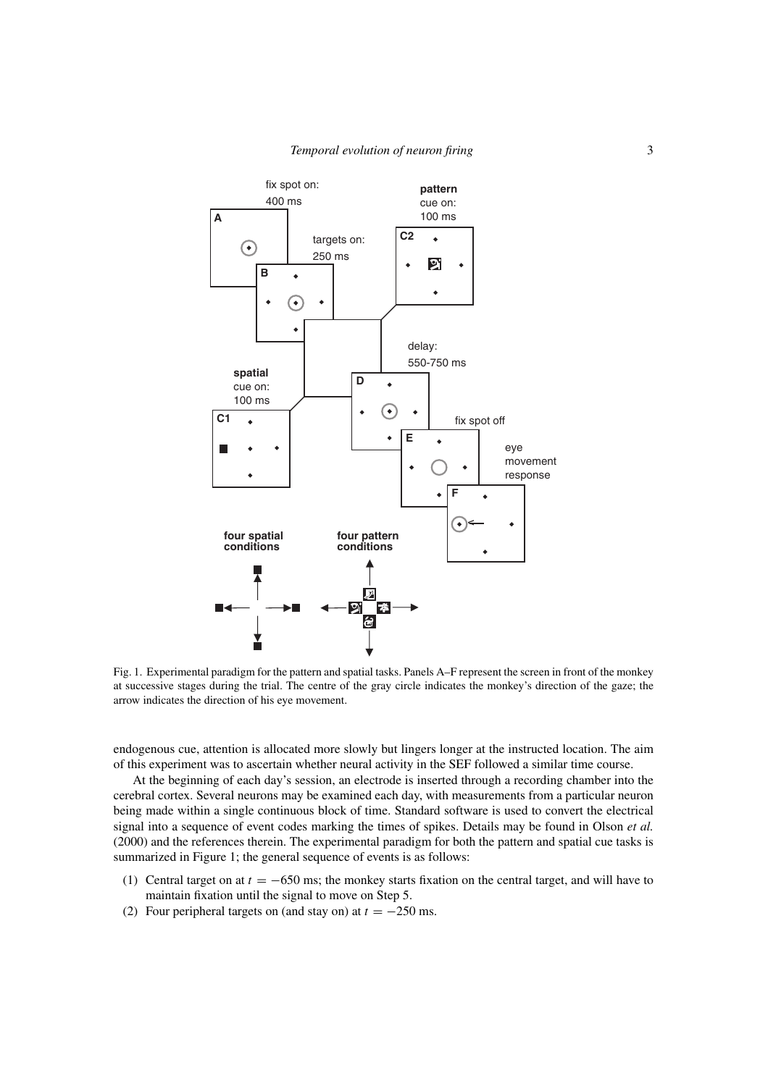

Fig. 1. Experimental paradigm for the pattern and spatial tasks. Panels A–F represent the screen in front of the monkey at successive stages during the trial. The centre of the gray circle indicates the monkey's direction of the gaze; the arrow indicates the direction of his eye movement.

endogenous cue, attention is allocated more slowly but lingers longer at the instructed location. The aim of this experiment was to ascertain whether neural activity in the SEF followed a similar time course.

At the beginning of each day's session, an electrode is inserted through a recording chamber into the cerebral cortex. Several neurons may be examined each day, with measurements from a particular neuron being made within a single continuous block of time. Standard software is used to convert the electrical signal into a sequence of event codes marking the times of spikes. Details may be found in Olson *et al.* (2000) and the references therein. The experimental paradigm for both the pattern and spatial cue tasks is summarized in Figure 1; the general sequence of events is as follows:

- (1) Central target on at *t* = −650 ms; the monkey starts fixation on the central target, and will have to maintain fixation until the signal to move on Step 5.
- (2) Four peripheral targets on (and stay on) at  $t = -250$  ms.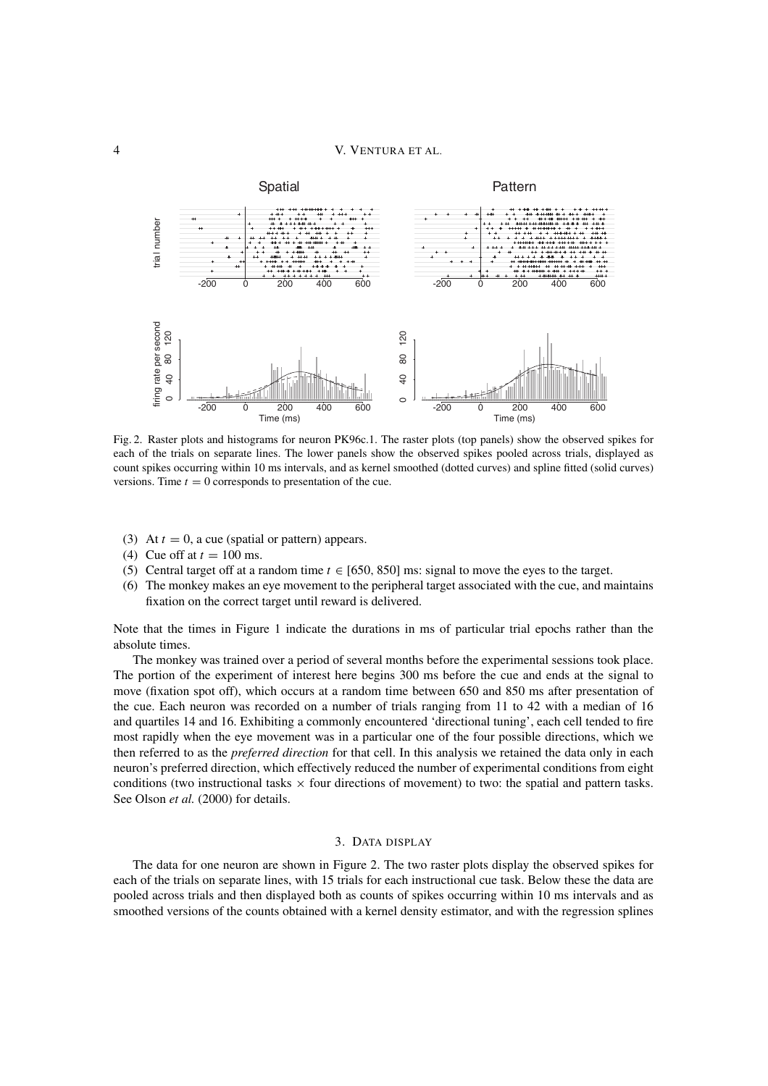

Fig. 2. Raster plots and histograms for neuron PK96c.1. The raster plots (top panels) show the observed spikes for each of the trials on separate lines. The lower panels show the observed spikes pooled across trials, displayed as count spikes occurring within 10 ms intervals, and as kernel smoothed (dotted curves) and spline fitted (solid curves) versions. Time  $t = 0$  corresponds to presentation of the cue.

- (3) At  $t = 0$ , a cue (spatial or pattern) appears.
- (4) Cue off at  $t = 100$  ms.
- (5) Central target off at a random time *t* ∈ [650, 850] ms: signal to move the eyes to the target.
- (6) The monkey makes an eye movement to the peripheral target associated with the cue, and maintains fixation on the correct target until reward is delivered.

Note that the times in Figure 1 indicate the durations in ms of particular trial epochs rather than the absolute times.

The monkey was trained over a period of several months before the experimental sessions took place. The portion of the experiment of interest here begins 300 ms before the cue and ends at the signal to move (fixation spot off), which occurs at a random time between 650 and 850 ms after presentation of the cue. Each neuron was recorded on a number of trials ranging from 11 to 42 with a median of 16 and quartiles 14 and 16. Exhibiting a commonly encountered 'directional tuning', each cell tended to fire most rapidly when the eye movement was in a particular one of the four possible directions, which we then referred to as the *preferred direction* for that cell. In this analysis we retained the data only in each neuron's preferred direction, which effectively reduced the number of experimental conditions from eight conditions (two instructional tasks  $\times$  four directions of movement) to two: the spatial and pattern tasks. See Olson *et al.* (2000) for details.

#### 3. DATA DISPLAY

The data for one neuron are shown in Figure 2. The two raster plots display the observed spikes for each of the trials on separate lines, with 15 trials for each instructional cue task. Below these the data are pooled across trials and then displayed both as counts of spikes occurring within 10 ms intervals and as smoothed versions of the counts obtained with a kernel density estimator, and with the regression splines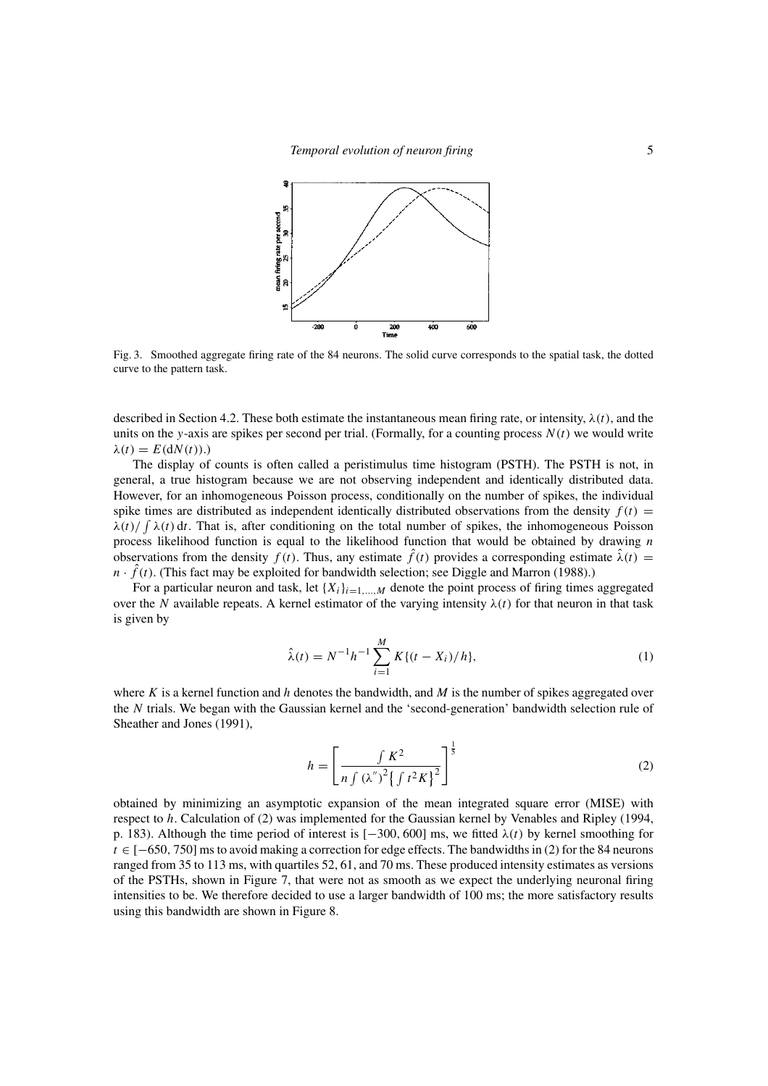

Fig. 3. Smoothed aggregate firing rate of the 84 neurons. The solid curve corresponds to the spatial task, the dotted curve to the pattern task.

described in Section 4.2. These both estimate the instantaneous mean firing rate, or intensity,  $\lambda(t)$ , and the units on the *y*-axis are spikes per second per trial. (Formally, for a counting process  $N(t)$  we would write  $λ(t) = E(dN(t)).$ 

The display of counts is often called a peristimulus time histogram (PSTH). The PSTH is not, in general, a true histogram because we are not observing independent and identically distributed data. However, for an inhomogeneous Poisson process, conditionally on the number of spikes, the individual spike times are distributed as independent identically distributed observations from the density  $f(t)$  =  $\lambda(t)/\int \lambda(t) dt$ . That is, after conditioning on the total number of spikes, the inhomogeneous Poisson process likelihood function is equal to the likelihood function that would be obtained by drawing *n* observations from the density  $f(t)$ . Thus, any estimate  $\hat{f}(t)$  provides a corresponding estimate  $\hat{\lambda}(t)$  =  $n \cdot \hat{f}(t)$ . (This fact may be exploited for bandwidth selection; see Diggle and Marron (1988).)

For a particular neuron and task, let  ${X_i}_{i=1,\ldots,M}$  denote the point process of firing times aggregated over the *N* available repeats. A kernel estimator of the varying intensity  $\lambda(t)$  for that neuron in that task is given by

$$
\hat{\lambda}(t) = N^{-1}h^{-1} \sum_{i=1}^{M} K\{(t - X_i)/h\},\tag{1}
$$

where *K* is a kernel function and *h* denotes the bandwidth, and *M* is the number of spikes aggregated over the *N* trials. We began with the Gaussian kernel and the 'second-generation' bandwidth selection rule of Sheather and Jones (1991),

$$
h = \left[\frac{\int K^2}{n \int (\lambda'')^2 \{ \int t^2 K \}^2}\right]^{\frac{1}{5}}\tag{2}
$$

obtained by minimizing an asymptotic expansion of the mean integrated square error (MISE) with respect to *h*. Calculation of (2) was implemented for the Gaussian kernel by Venables and Ripley (1994, p. 183). Although the time period of interest is [−300, 600] ms, we fitted λ(*t*) by kernel smoothing for *t* ∈ [−650, 750] ms to avoid making a correction for edge effects. The bandwidths in (2) for the 84 neurons ranged from 35 to 113 ms, with quartiles 52, 61, and 70 ms. These produced intensity estimates as versions of the PSTHs, shown in Figure 7, that were not as smooth as we expect the underlying neuronal firing intensities to be. We therefore decided to use a larger bandwidth of 100 ms; the more satisfactory results using this bandwidth are shown in Figure 8.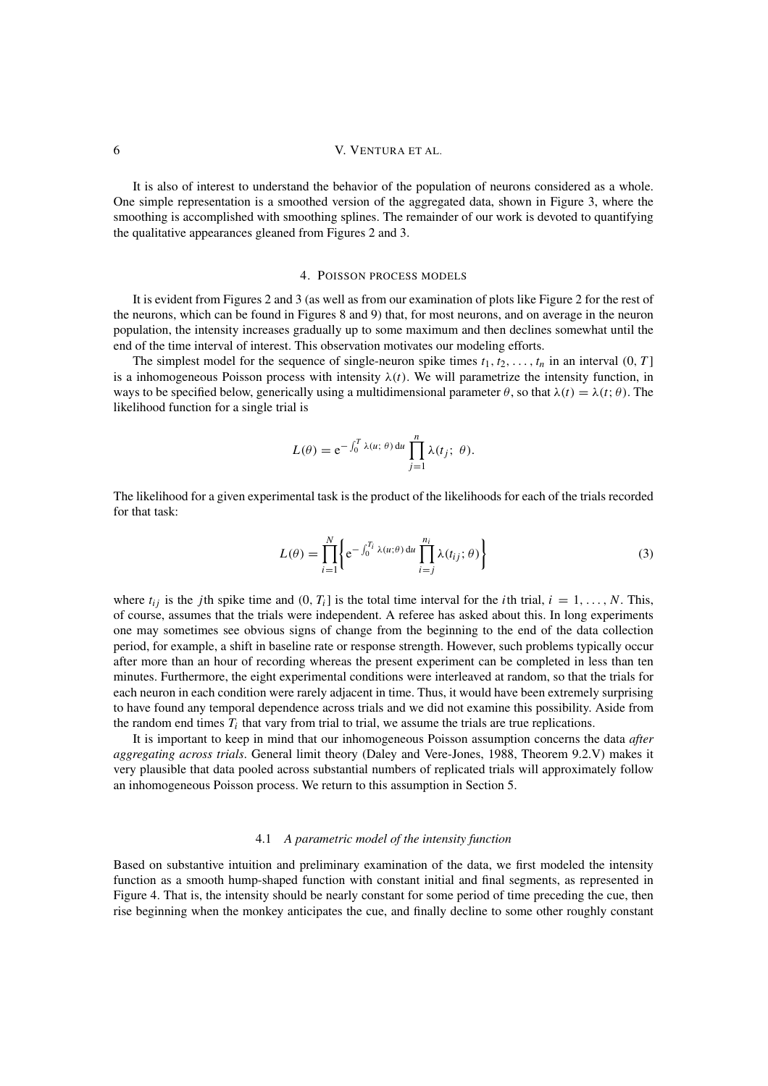It is also of interest to understand the behavior of the population of neurons considered as a whole. One simple representation is a smoothed version of the aggregated data, shown in Figure 3, where the smoothing is accomplished with smoothing splines. The remainder of our work is devoted to quantifying the qualitative appearances gleaned from Figures 2 and 3.

# 4. POISSON PROCESS MODELS

It is evident from Figures 2 and 3 (as well as from our examination of plots like Figure 2 for the rest of the neurons, which can be found in Figures 8 and 9) that, for most neurons, and on average in the neuron population, the intensity increases gradually up to some maximum and then declines somewhat until the end of the time interval of interest. This observation motivates our modeling efforts.

The simplest model for the sequence of single-neuron spike times  $t_1, t_2, \ldots, t_n$  in an interval  $(0, T]$ is a inhomogeneous Poisson process with intensity  $\lambda(t)$ . We will parametrize the intensity function, in ways to be specified below, generically using a multidimensional parameter  $\theta$ , so that  $\lambda(t) = \lambda(t; \theta)$ . The likelihood function for a single trial is

$$
L(\theta) = e^{-\int_0^T \lambda(u; \theta) du} \prod_{j=1}^n \lambda(t_j; \theta).
$$

The likelihood for a given experimental task is the product of the likelihoods for each of the trials recorded for that task:

*N*

$$
L(\theta) = \prod_{i=1}^{N} \left\{ e^{-\int_0^{T_i} \lambda(u;\theta) du} \prod_{i=j}^{n_i} \lambda(t_{ij};\theta) \right\}
$$
(3)

where  $t_{ij}$  is the *j*th spike time and  $(0, T_i]$  is the total time interval for the *i*th trial,  $i = 1, \ldots, N$ . This, of course, assumes that the trials were independent. A referee has asked about this. In long experiments one may sometimes see obvious signs of change from the beginning to the end of the data collection period, for example, a shift in baseline rate or response strength. However, such problems typically occur after more than an hour of recording whereas the present experiment can be completed in less than ten minutes. Furthermore, the eight experimental conditions were interleaved at random, so that the trials for each neuron in each condition were rarely adjacent in time. Thus, it would have been extremely surprising to have found any temporal dependence across trials and we did not examine this possibility. Aside from the random end times  $T_i$  that vary from trial to trial, we assume the trials are true replications.

It is important to keep in mind that our inhomogeneous Poisson assumption concerns the data *after aggregating across trials*. General limit theory (Daley and Vere-Jones, 1988, Theorem 9.2.V) makes it very plausible that data pooled across substantial numbers of replicated trials will approximately follow an inhomogeneous Poisson process. We return to this assumption in Section 5.

## 4.1 *A parametric model of the intensity function*

Based on substantive intuition and preliminary examination of the data, we first modeled the intensity function as a smooth hump-shaped function with constant initial and final segments, as represented in Figure 4. That is, the intensity should be nearly constant for some period of time preceding the cue, then rise beginning when the monkey anticipates the cue, and finally decline to some other roughly constant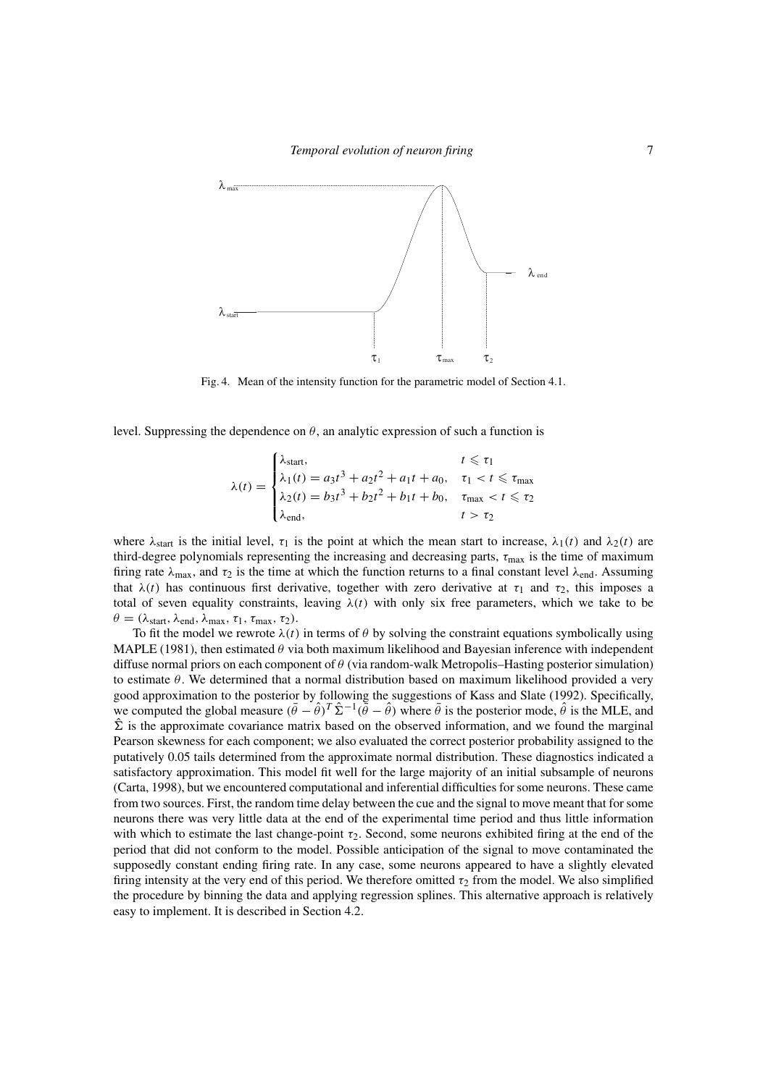

Fig. 4. Mean of the intensity function for the parametric model of Section 4.1.

level. Suppressing the dependence on  $\theta$ , an analytic expression of such a function is

$$
\lambda(t) = \begin{cases}\n\lambda_{\text{start}}, & t \leq \tau_1 \\
\lambda_1(t) = a_3 t^3 + a_2 t^2 + a_1 t + a_0, & \tau_1 < t \leq \tau_{\text{max}} \\
\lambda_2(t) = b_3 t^3 + b_2 t^2 + b_1 t + b_0, & \tau_{\text{max}} < t \leq \tau_2 \\
\lambda_{\text{end}}, & t > \tau_2\n\end{cases}
$$

where  $\lambda_{\text{start}}$  is the initial level,  $\tau_1$  is the point at which the mean start to increase,  $\lambda_1(t)$  and  $\lambda_2(t)$  are third-degree polynomials representing the increasing and decreasing parts,  $\tau_{\text{max}}$  is the time of maximum firing rate  $\lambda_{\text{max}}$ , and  $\tau_2$  is the time at which the function returns to a final constant level  $\lambda_{\text{end}}$ . Assuming that  $\lambda(t)$  has continuous first derivative, together with zero derivative at  $\tau_1$  and  $\tau_2$ , this imposes a total of seven equality constraints, leaving  $\lambda(t)$  with only six free parameters, which we take to be  $\theta = (\lambda_{\text{start}}, \lambda_{\text{end}}, \lambda_{\text{max}}, \tau_1, \tau_{\text{max}}, \tau_2).$ 

To fit the model we rewrote  $\lambda(t)$  in terms of  $\theta$  by solving the constraint equations symbolically using MAPLE (1981), then estimated  $\theta$  via both maximum likelihood and Bayesian inference with independent diffuse normal priors on each component of  $\theta$  (via random-walk Metropolis–Hasting posterior simulation) to estimate  $θ$ . We determined that a normal distribution based on maximum likelihood provided a very good approximation to the posterior by following the suggestions of Kass and Slate (1992). Specifically, we computed the global measure  $(\bar{\theta} - \hat{\theta})^T \hat{\Sigma}^{-1} (\bar{\theta} - \hat{\theta})$  where  $\bar{\theta}$  is the posterior mode,  $\hat{\theta}$  is the MLE, and  $\hat{\Sigma}$  is the approximate covariance matrix based on the observed information, and we found the marginal Pearson skewness for each component; we also evaluated the correct posterior probability assigned to the putatively 0.05 tails determined from the approximate normal distribution. These diagnostics indicated a satisfactory approximation. This model fit well for the large majority of an initial subsample of neurons (Carta, 1998), but we encountered computational and inferential difficulties for some neurons. These came from two sources. First, the random time delay between the cue and the signal to move meant that for some neurons there was very little data at the end of the experimental time period and thus little information with which to estimate the last change-point  $\tau_2$ . Second, some neurons exhibited firing at the end of the period that did not conform to the model. Possible anticipation of the signal to move contaminated the supposedly constant ending firing rate. In any case, some neurons appeared to have a slightly elevated firing intensity at the very end of this period. We therefore omitted  $\tau_2$  from the model. We also simplified the procedure by binning the data and applying regression splines. This alternative approach is relatively easy to implement. It is described in Section 4.2.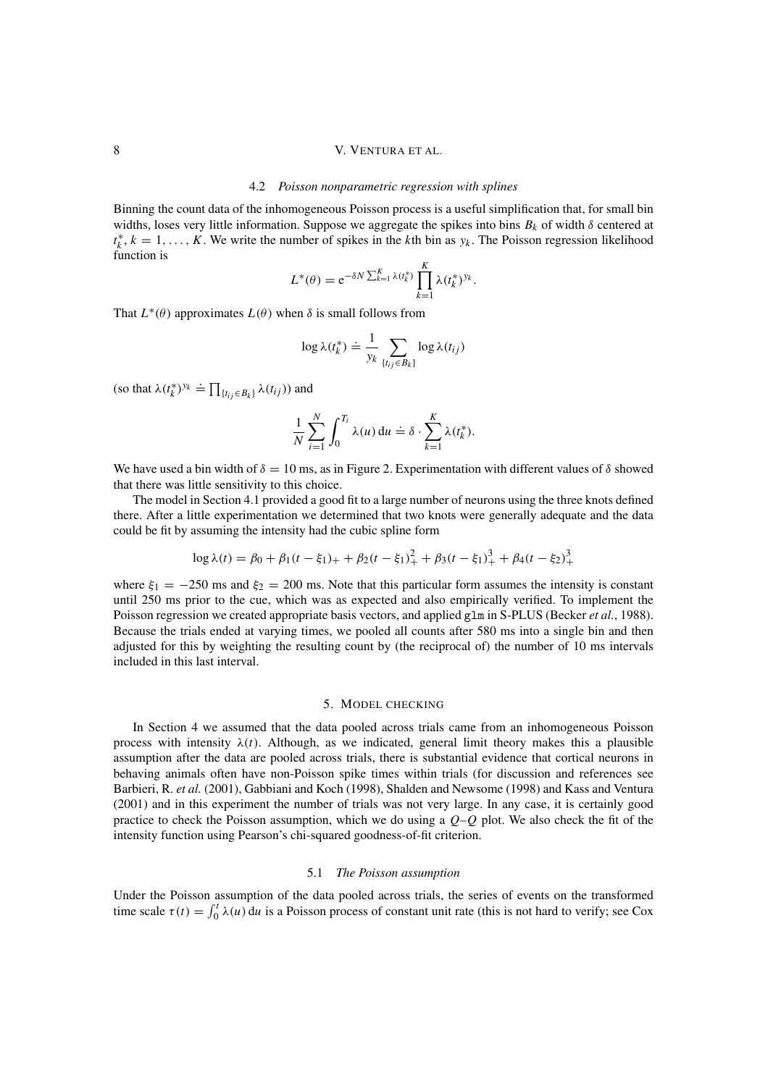#### 4.2 *Poisson nonparametric regression with splines*

Binning the count data of the inhomogeneous Poisson process is a useful simplification that, for small bin widths, loses very little information. Suppose we aggregate the spikes into bins  $B_k$  of width  $\delta$  centered at  $t_k^*$ ,  $k = 1, \ldots, K$ . We write the number of spikes in the *k*th bin as  $y_k$ . The Poisson regression likelihood function is

$$
L^*(\theta) = e^{-\delta N \sum_{k=1}^K \lambda(t_k^*)} \prod_{k=1}^K \lambda(t_k^*)^{y_k}.
$$

That  $L^*(\theta)$  approximates  $L(\theta)$  when  $\delta$  is small follows from

$$
\log \lambda(t_k^*) \doteq \frac{1}{y_k} \sum_{\{t_{ij} \in B_k\}} \log \lambda(t_{ij})
$$

(so that  $\lambda(t_k^*)^{y_k} \doteq \prod_{\{t_{ij} \in B_k\}} \lambda(t_{ij})$ ) and

$$
\frac{1}{N}\sum_{i=1}^N \int_0^{T_i} \lambda(u) \, \mathrm{d}u \doteq \delta \cdot \sum_{k=1}^K \lambda(t_k^*).
$$

We have used a bin width of  $\delta = 10$  ms, as in Figure 2. Experimentation with different values of  $\delta$  showed that there was little sensitivity to this choice.

The model in Section 4.1 provided a good fit to a large number of neurons using the three knots defined there. After a little experimentation we determined that two knots were generally adequate and the data could be fit by assuming the intensity had the cubic spline form

$$
\log \lambda(t) = \beta_0 + \beta_1(t - \xi_1)_+ + \beta_2(t - \xi_1)_+^2 + \beta_3(t - \xi_1)_+^3 + \beta_4(t - \xi_2)_+^3
$$

where  $\xi_1 = -250$  ms and  $\xi_2 = 200$  ms. Note that this particular form assumes the intensity is constant until 250 ms prior to the cue, which was as expected and also empirically verified. To implement the Poisson regression we created appropriate basis vectors, and applied glm in S-PLUS (Becker *et al.*, 1988). Because the trials ended at varying times, we pooled all counts after 580 ms into a single bin and then adjusted for this by weighting the resulting count by (the reciprocal of) the number of 10 ms intervals included in this last interval.

# 5. MODEL CHECKING

In Section 4 we assumed that the data pooled across trials came from an inhomogeneous Poisson process with intensity  $\lambda(t)$ . Although, as we indicated, general limit theory makes this a plausible assumption after the data are pooled across trials, there is substantial evidence that cortical neurons in behaving animals often have non-Poisson spike times within trials (for discussion and references see Barbieri, R. *et al.* (2001), Gabbiani and Koch (1998), Shalden and Newsome (1998) and Kass and Ventura (2001) and in this experiment the number of trials was not very large. In any case, it is certainly good practice to check the Poisson assumption, which we do using a *Q*–*Q* plot. We also check the fit of the intensity function using Pearson's chi-squared goodness-of-fit criterion.

## 5.1 *The Poisson assumption*

Under the Poisson assumption of the data pooled across trials, the series of events on the transformed time scale  $\tau(t) = \int_0^t \lambda(u) \, du$  is a Poisson process of constant unit rate (this is not hard to verify; see Cox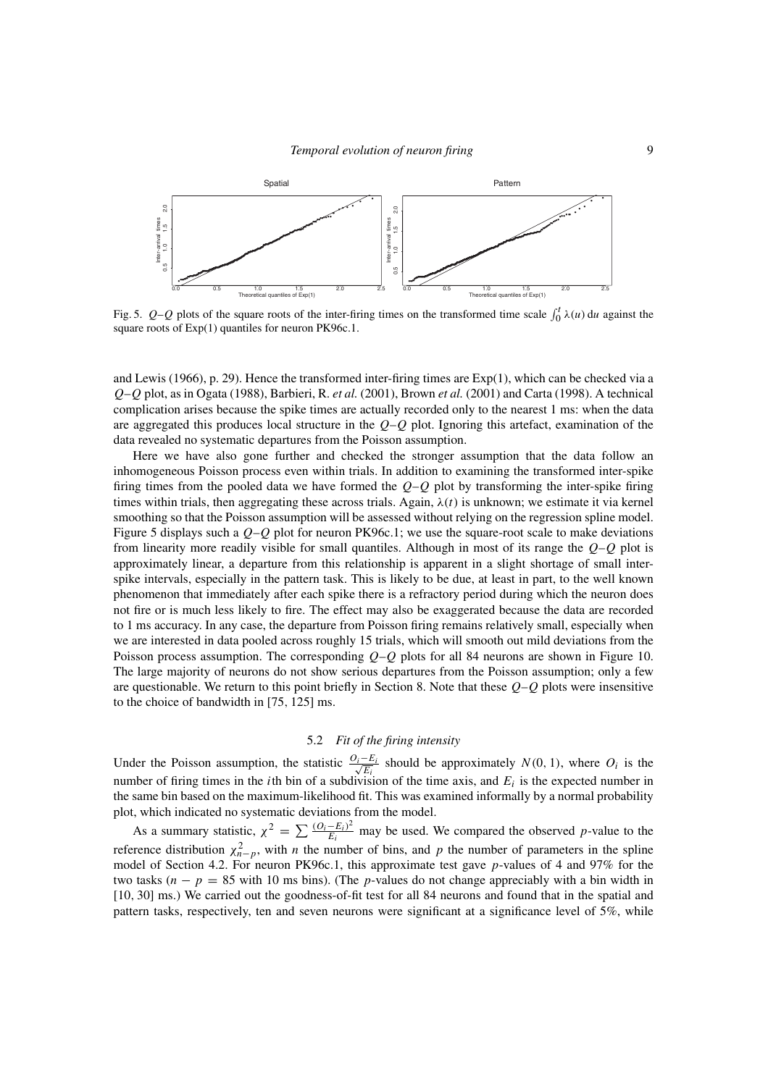

Fig. 5.  $Q-Q$  plots of the square roots of the inter-firing times on the transformed time scale  $\int_0^t \lambda(u) du$  against the square roots of  $Exp(1)$  quantiles for neuron PK96c.1.

and Lewis (1966), p. 29). Hence the transformed inter-firing times are Exp(1), which can be checked via a *Q*–*Q* plot, as in Ogata (1988), Barbieri, R. *et al.* (2001), Brown *et al.* (2001) and Carta (1998). A technical complication arises because the spike times are actually recorded only to the nearest 1 ms: when the data are aggregated this produces local structure in the *Q*–*Q* plot. Ignoring this artefact, examination of the data revealed no systematic departures from the Poisson assumption.

Here we have also gone further and checked the stronger assumption that the data follow an inhomogeneous Poisson process even within trials. In addition to examining the transformed inter-spike firing times from the pooled data we have formed the *Q*–*Q* plot by transforming the inter-spike firing times within trials, then aggregating these across trials. Again,  $\lambda(t)$  is unknown; we estimate it via kernel smoothing so that the Poisson assumption will be assessed without relying on the regression spline model. Figure 5 displays such a *Q*–*Q* plot for neuron PK96c.1; we use the square-root scale to make deviations from linearity more readily visible for small quantiles. Although in most of its range the *Q*–*Q* plot is approximately linear, a departure from this relationship is apparent in a slight shortage of small interspike intervals, especially in the pattern task. This is likely to be due, at least in part, to the well known phenomenon that immediately after each spike there is a refractory period during which the neuron does not fire or is much less likely to fire. The effect may also be exaggerated because the data are recorded to 1 ms accuracy. In any case, the departure from Poisson firing remains relatively small, especially when we are interested in data pooled across roughly 15 trials, which will smooth out mild deviations from the Poisson process assumption. The corresponding *Q*–*Q* plots for all 84 neurons are shown in Figure 10. The large majority of neurons do not show serious departures from the Poisson assumption; only a few are questionable. We return to this point briefly in Section 8. Note that these *Q*–*Q* plots were insensitive to the choice of bandwidth in [75, 125] ms.

# 5.2 *Fit of the firing intensity*

Under the Poisson assumption, the statistic  $\frac{O_i - E_i}{\sqrt{E_i}}$  should be approximately *N*(0, 1), where  $O_i$  is the number of firing times in the *i*th bin of a subdivision of the time axis, and *Ei* is the expected number in the same bin based on the maximum-likelihood fit. This was examined informally by a normal probability plot, which indicated no systematic deviations from the model.

As a summary statistic,  $\chi^2 = \sum \frac{(O_i - E_i)^2}{E_i}$  may be used. We compared the observed *p*-value to the reference distribution  $\chi^2_{n-p}$ , with *n* the number of bins, and *p* the number of parameters in the spline model of Section 4.2. For neuron PK96c.1, this approximate test gave *p*-values of 4 and 97% for the two tasks  $(n - p = 85$  with 10 ms bins). (The *p*-values do not change appreciably with a bin width in [10, 30] ms.) We carried out the goodness-of-fit test for all 84 neurons and found that in the spatial and pattern tasks, respectively, ten and seven neurons were significant at a significance level of 5%, while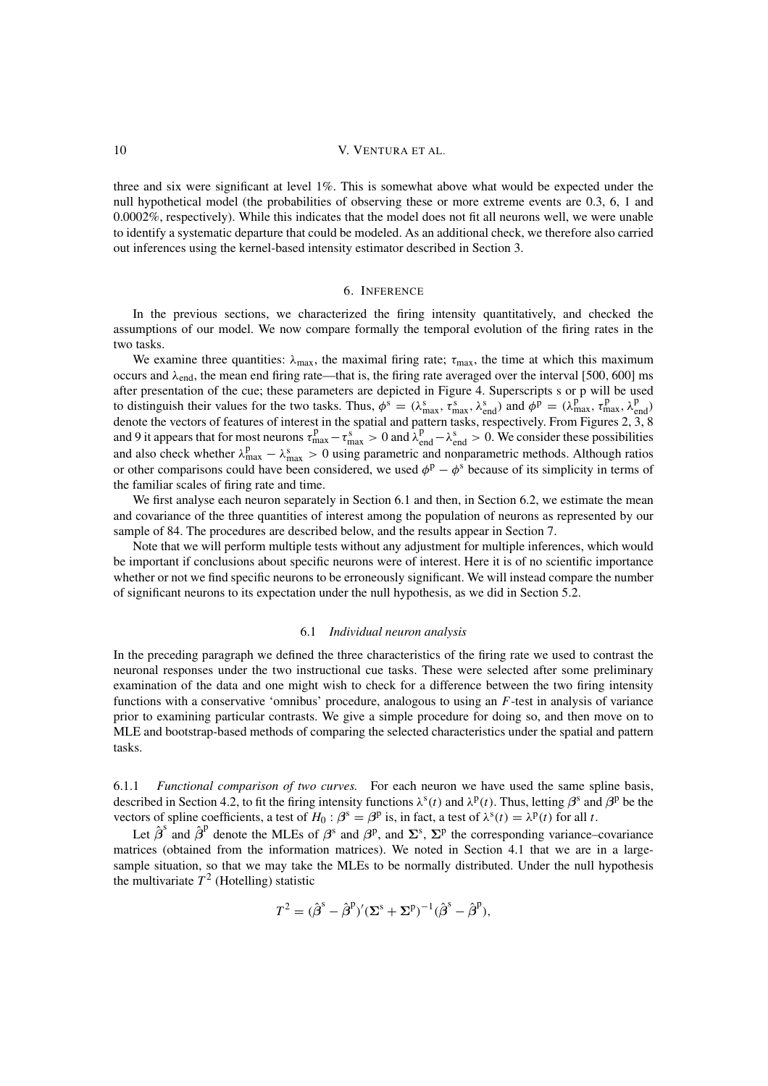three and six were significant at level 1%. This is somewhat above what would be expected under the null hypothetical model (the probabilities of observing these or more extreme events are 0.3, 6, 1 and 0.0002%, respectively). While this indicates that the model does not fit all neurons well, we were unable to identify a systematic departure that could be modeled. As an additional check, we therefore also carried out inferences using the kernel-based intensity estimator described in Section 3.

## 6. INFERENCE

In the previous sections, we characterized the firing intensity quantitatively, and checked the assumptions of our model. We now compare formally the temporal evolution of the firing rates in the two tasks.

We examine three quantities:  $\lambda_{\text{max}}$ , the maximal firing rate;  $\tau_{\text{max}}$ , the time at which this maximum occurs and  $\lambda_{end}$ , the mean end firing rate—that is, the firing rate averaged over the interval [500, 600] ms after presentation of the cue; these parameters are depicted in Figure 4. Superscripts s or p will be used to distinguish their values for the two tasks. Thus,  $\phi^s = (\lambda_{\max}^s, \tau_{\max}^s, \lambda_{\text{end}}^s)$  and  $\phi^{\bar{p}} = (\lambda_{\max}^{\bar{p}}, \tau_{\max}^{\bar{p}}, \lambda_{\text{end}}^{\bar{p}})$ denote the vectors of features of interest in the spatial and pattern tasks, respectively. From Figures 2, 3, 8 and 9 it appears that for most neurons  $\tau_{\text{max}}^{\text{p}} - \tau_{\text{max}}^{\text{s}} > 0$  and  $\lambda_{\text{end}}^{\text{p}} - \lambda_{\text{end}}^{\text{s}} > 0$ . We consider these possibilities and also check whether  $\lambda_{\text{max}}^{\text{p}} - \lambda_{\text{max}}^{\text{s}} > 0$  using parametric and nonparametric methods. Although ratios or other comparisons could have been considered, we used  $\phi^p - \phi^s$  because of its simplicity in terms of the familiar scales of firing rate and time.

We first analyse each neuron separately in Section 6.1 and then, in Section 6.2, we estimate the mean and covariance of the three quantities of interest among the population of neurons as represented by our sample of 84. The procedures are described below, and the results appear in Section 7.

Note that we will perform multiple tests without any adjustment for multiple inferences, which would be important if conclusions about specific neurons were of interest. Here it is of no scientific importance whether or not we find specific neurons to be erroneously significant. We will instead compare the number of significant neurons to its expectation under the null hypothesis, as we did in Section 5.2.

#### 6.1 *Individual neuron analysis*

In the preceding paragraph we defined the three characteristics of the firing rate we used to contrast the neuronal responses under the two instructional cue tasks. These were selected after some preliminary examination of the data and one might wish to check for a difference between the two firing intensity functions with a conservative 'omnibus' procedure, analogous to using an *F*-test in analysis of variance prior to examining particular contrasts. We give a simple procedure for doing so, and then move on to MLE and bootstrap-based methods of comparing the selected characteristics under the spatial and pattern tasks.

6.1.1 *Functional comparison of two curves.* For each neuron we have used the same spline basis, described in Section 4.2, to fit the firing intensity functions  $\lambda^s(t)$  and  $\lambda^p(t)$ . Thus, letting  $\beta^s$  and  $\beta^p$  be the vectors of spline coefficients, a test of  $H_0: \beta^s = \beta^p$  is, in fact, a test of  $\lambda^s(t) = \lambda^p(t)$  for all *t*.

Let  $\hat{\beta}^s$  and  $\hat{\beta}^p$  denote the MLEs of  $\beta^s$  and  $\beta^p$ , and  $\Sigma^s$ ,  $\Sigma^p$  the corresponding variance–covariance matrices (obtained from the information matrices). We noted in Section 4.1 that we are in a largesample situation, so that we may take the MLEs to be normally distributed. Under the null hypothesis the multivariate  $T^2$  (Hotelling) statistic

$$
T^2 = (\hat{\boldsymbol{\beta}}^{\rm s} - \hat{\boldsymbol{\beta}}^{\rm p})'(\boldsymbol{\Sigma}^{\rm s} + \boldsymbol{\Sigma}^{\rm p})^{-1}(\hat{\boldsymbol{\beta}}^{\rm s} - \hat{\boldsymbol{\beta}}^{\rm p}),
$$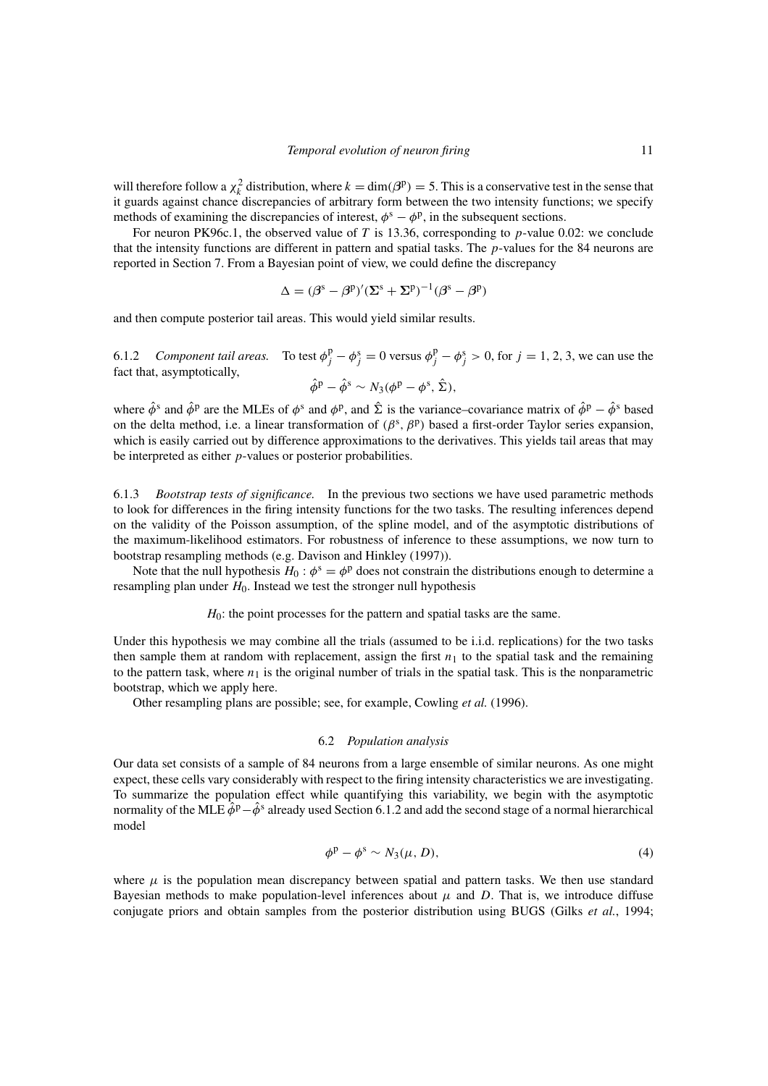will therefore follow a  $\chi^2_k$  distribution, where  $k = \dim(\beta^p) = 5$ . This is a conservative test in the sense that it guards against chance discrepancies of arbitrary form between the two intensity functions; we specify methods of examining the discrepancies of interest,  $\phi^s - \phi^p$ , in the subsequent sections.

For neuron PK96c.1, the observed value of *T* is 13.36, corresponding to *p*-value 0.02: we conclude that the intensity functions are different in pattern and spatial tasks. The *p*-values for the 84 neurons are reported in Section 7. From a Bayesian point of view, we could define the discrepancy

$$
\Delta = (\beta^s - \beta^p)'(\Sigma^s + \Sigma^p)^{-1}(\beta^s - \beta^p)
$$

and then compute posterior tail areas. This would yield similar results.

6.1.2 *Component tail areas.* To test  $\phi_j^p - \phi_j^s = 0$  versus  $\phi_j^p - \phi_j^s > 0$ , for  $j = 1, 2, 3$ , we can use the fact that, asymptotically,

$$
\hat{\phi}^{\mathrm{p}}-\hat{\phi}^{\mathrm{s}}\sim N_3(\phi^{\mathrm{p}}-\phi^{\mathrm{s}},\,\hat{\Sigma}),
$$

where  $\hat{\phi}^s$  and  $\hat{\phi}^p$  are the MLEs of  $\phi^s$  and  $\phi^p$ , and  $\hat{\Sigma}$  is the variance–covariance matrix of  $\hat{\phi}^p - \hat{\phi}^s$  based on the delta method, i.e. a linear transformation of  $(\beta^s, \beta^p)$  based a first-order Taylor series expansion, which is easily carried out by difference approximations to the derivatives. This yields tail areas that may be interpreted as either *p*-values or posterior probabilities.

6.1.3 *Bootstrap tests of significance.* In the previous two sections we have used parametric methods to look for differences in the firing intensity functions for the two tasks. The resulting inferences depend on the validity of the Poisson assumption, of the spline model, and of the asymptotic distributions of the maximum-likelihood estimators. For robustness of inference to these assumptions, we now turn to bootstrap resampling methods (e.g. Davison and Hinkley (1997)).

Note that the null hypothesis  $H_0$ :  $\phi^s = \phi^p$  does not constrain the distributions enough to determine a resampling plan under  $H_0$ . Instead we test the stronger null hypothesis

*H*<sub>0</sub>: the point processes for the pattern and spatial tasks are the same.

Under this hypothesis we may combine all the trials (assumed to be i.i.d. replications) for the two tasks then sample them at random with replacement, assign the first  $n_1$  to the spatial task and the remaining to the pattern task, where  $n_1$  is the original number of trials in the spatial task. This is the nonparametric bootstrap, which we apply here.

Other resampling plans are possible; see, for example, Cowling *et al.* (1996).

#### 6.2 *Population analysis*

Our data set consists of a sample of 84 neurons from a large ensemble of similar neurons. As one might expect, these cells vary considerably with respect to the firing intensity characteristics we are investigating. To summarize the population effect while quantifying this variability, we begin with the asymptotic normality of the MLE  $\hat{\phi}^{\text{p}}-\hat{\phi}^{\text{s}}$  already used Section 6.1.2 and add the second stage of a normal hierarchical model

$$
\phi^p - \phi^s \sim N_3(\mu, D),\tag{4}
$$

where  $\mu$  is the population mean discrepancy between spatial and pattern tasks. We then use standard Bayesian methods to make population-level inferences about  $\mu$  and  $D$ . That is, we introduce diffuse conjugate priors and obtain samples from the posterior distribution using BUGS (Gilks *et al.*, 1994;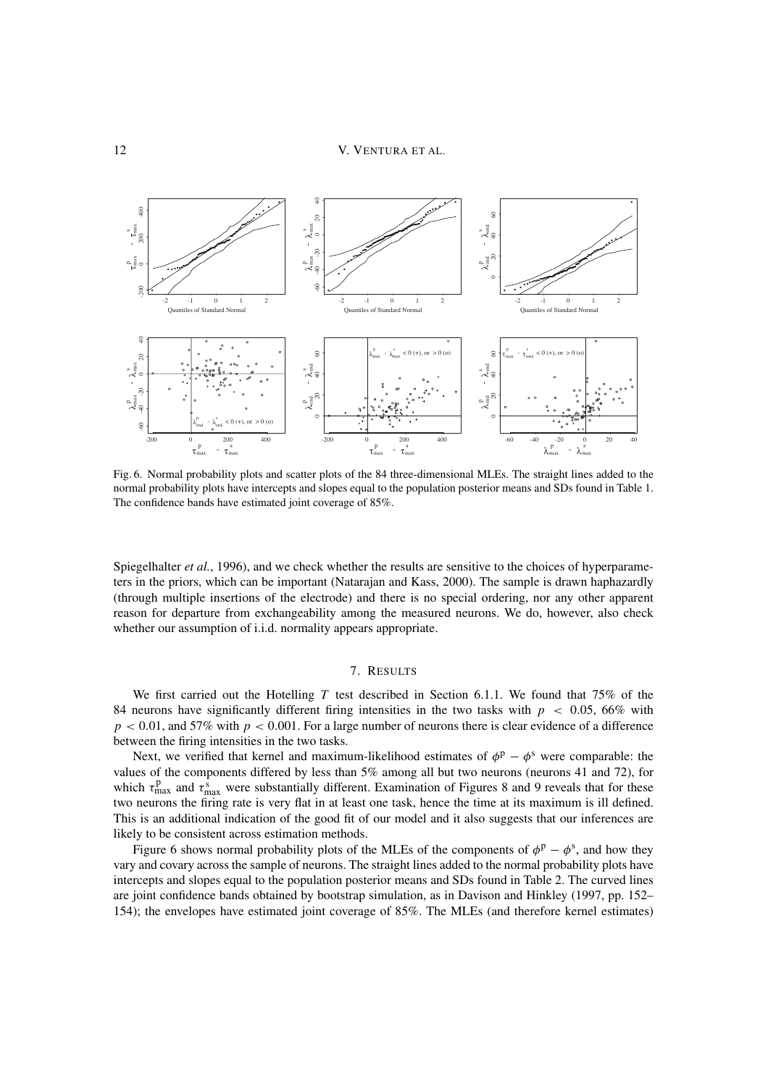

Fig. 6. Normal probability plots and scatter plots of the 84 three-dimensional MLEs. The straight lines added to the normal probability plots have intercepts and slopes equal to the population posterior means and SDs found in Table 1. The confidence bands have estimated joint coverage of 85%.

Spiegelhalter *et al.*, 1996), and we check whether the results are sensitive to the choices of hyperparameters in the priors, which can be important (Natarajan and Kass, 2000). The sample is drawn haphazardly (through multiple insertions of the electrode) and there is no special ordering, nor any other apparent reason for departure from exchangeability among the measured neurons. We do, however, also check whether our assumption of i.i.d. normality appears appropriate.

# 7. RESULTS

We first carried out the Hotelling *T* test described in Section 6.1.1. We found that 75% of the 84 neurons have significantly different firing intensities in the two tasks with  $p < 0.05$ , 66% with  $p < 0.01$ , and 57% with  $p < 0.001$ . For a large number of neurons there is clear evidence of a difference between the firing intensities in the two tasks.

Next, we verified that kernel and maximum-likelihood estimates of  $\phi^p - \phi^s$  were comparable: the values of the components differed by less than 5% among all but two neurons (neurons 41 and 72), for which  $\tau_{\text{max}}^{\text{p}}$  and  $\tau_{\text{max}}^{\text{s}}$  were substantially different. Examination of Figures 8 and 9 reveals that for these two neurons the firing rate is very flat in at least one task, hence the time at its maximum is ill defined. This is an additional indication of the good fit of our model and it also suggests that our inferences are likely to be consistent across estimation methods.

Figure 6 shows normal probability plots of the MLEs of the components of  $\phi^p - \phi^s$ , and how they vary and covary across the sample of neurons. The straight lines added to the normal probability plots have intercepts and slopes equal to the population posterior means and SDs found in Table 2. The curved lines are joint confidence bands obtained by bootstrap simulation, as in Davison and Hinkley (1997, pp. 152– 154); the envelopes have estimated joint coverage of 85%. The MLEs (and therefore kernel estimates)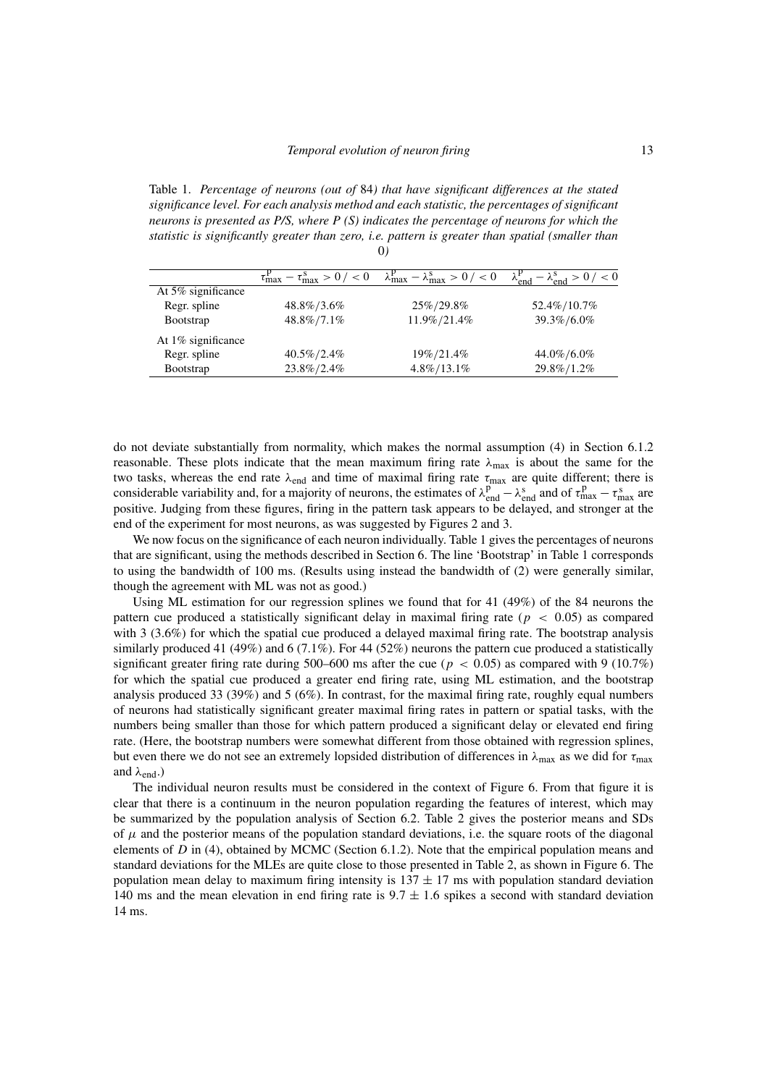Table 1. *Percentage of neurons (out of* 84*) that have significant differences at the stated significance level. For each analysis method and each statistic, the percentages of significant neurons is presented as P/S, where P (S) indicates the percentage of neurons for which the statistic is significantly greater than zero, i.e. pattern is greater than spatial (smaller than* 0*)*

|                       | $\tau_{\text{max}}^{\text{P}} - \tau_{\text{max}}^{\text{s}} > 0 / < 0$ | $\lambda_{\max}^{\rm p} - \lambda_{\max}^{\rm s} > 0 / < 0$ | $\lambda_{\text{end}}^{\text{P}}$<br>$-\lambda_{end}^{s} > 0 / < 0$ |
|-----------------------|-------------------------------------------------------------------------|-------------------------------------------------------------|---------------------------------------------------------------------|
| At $5\%$ significance |                                                                         |                                                             |                                                                     |
| Regr. spline          | 48.8%/3.6%                                                              | 25\%/29.8\%                                                 | 52.4%/10.7%                                                         |
| <b>Bootstrap</b>      | 48.8%/7.1%                                                              | 11.9%/21.4%                                                 | 39.3%/6.0%                                                          |
| At $1\%$ significance |                                                                         |                                                             |                                                                     |
| Regr. spline          | $40.5\%/2.4\%$                                                          | 19%/21.4%                                                   | 44.0%/6.0%                                                          |
| <b>Bootstrap</b>      | 23.8%/2.4%                                                              | $4.8\%/13.1\%$                                              | 29.8%/1.2%                                                          |

do not deviate substantially from normality, which makes the normal assumption (4) in Section 6.1.2 reasonable. These plots indicate that the mean maximum firing rate  $\lambda_{\text{max}}$  is about the same for the two tasks, whereas the end rate  $\lambda_{end}$  and time of maximal firing rate  $\tau_{max}$  are quite different; there is considerable variability and, for a majority of neurons, the estimates of  $\lambda_{end}^{p^{max}} - \lambda_{end}^{s}$  and of  $\tau_{max}^{p} - \tau_{max}^{s}$  are positive. Judging from these figures, firing in the pattern task appears to be delayed, and stronger at the end of the experiment for most neurons, as was suggested by Figures 2 and 3.

We now focus on the significance of each neuron individually. Table 1 gives the percentages of neurons that are significant, using the methods described in Section 6. The line 'Bootstrap' in Table 1 corresponds to using the bandwidth of 100 ms. (Results using instead the bandwidth of (2) were generally similar, though the agreement with ML was not as good.)

Using ML estimation for our regression splines we found that for 41 (49%) of the 84 neurons the pattern cue produced a statistically significant delay in maximal firing rate (*p* < 0.05) as compared with 3 (3.6%) for which the spatial cue produced a delayed maximal firing rate. The bootstrap analysis similarly produced 41 (49%) and 6 (7.1%). For 44 (52%) neurons the pattern cue produced a statistically significant greater firing rate during 500–600 ms after the cue ( $p < 0.05$ ) as compared with 9 (10.7%) for which the spatial cue produced a greater end firing rate, using ML estimation, and the bootstrap analysis produced 33 (39%) and 5 (6%). In contrast, for the maximal firing rate, roughly equal numbers of neurons had statistically significant greater maximal firing rates in pattern or spatial tasks, with the numbers being smaller than those for which pattern produced a significant delay or elevated end firing rate. (Here, the bootstrap numbers were somewhat different from those obtained with regression splines, but even there we do not see an extremely lopsided distribution of differences in  $\lambda_{\text{max}}$  as we did for  $\tau_{\text{max}}$ and  $\lambda_{end}$ .)

The individual neuron results must be considered in the context of Figure 6. From that figure it is clear that there is a continuum in the neuron population regarding the features of interest, which may be summarized by the population analysis of Section 6.2. Table 2 gives the posterior means and SDs of  $\mu$  and the posterior means of the population standard deviations, i.e. the square roots of the diagonal elements of *D* in (4), obtained by MCMC (Section 6.1.2). Note that the empirical population means and standard deviations for the MLEs are quite close to those presented in Table 2, as shown in Figure 6. The population mean delay to maximum firing intensity is  $137 \pm 17$  ms with population standard deviation 140 ms and the mean elevation in end firing rate is  $9.7 \pm 1.6$  spikes a second with standard deviation 14 ms.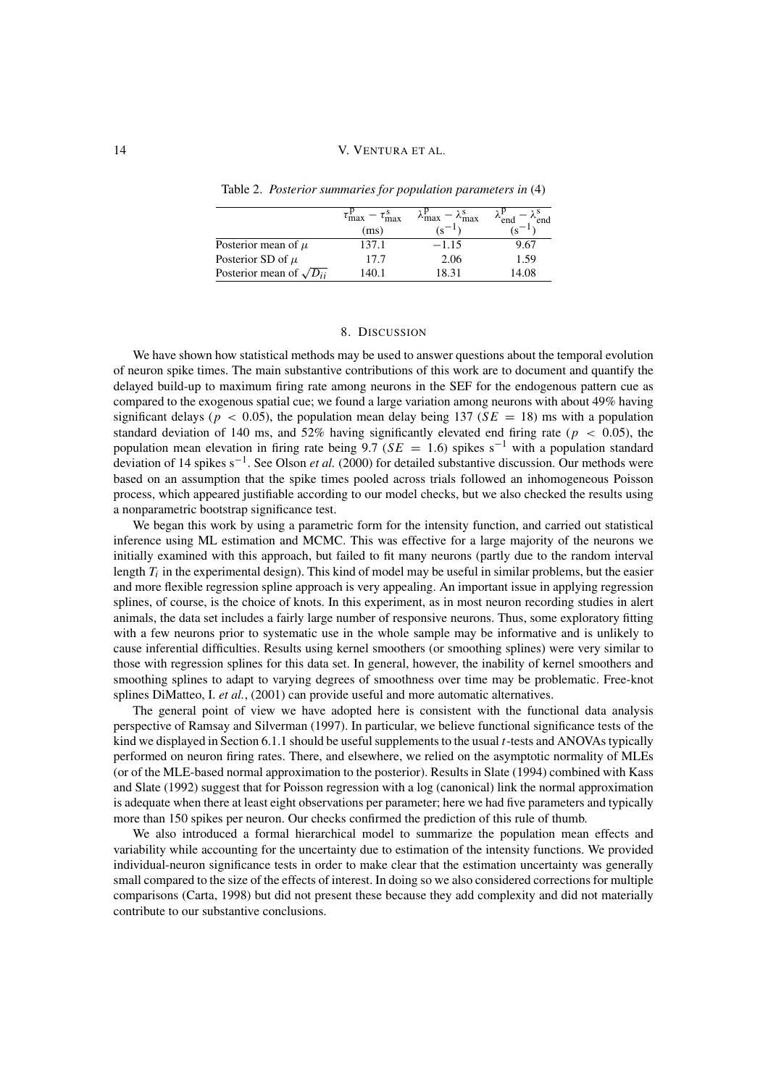Table 2. *Posterior summaries for population parameters in* (4)

|                                   | $\tau_{\max}$<br>µmax<br>(ms) | $\lambda_{\max}^r$<br>™max | $\gamma$ end<br>end |
|-----------------------------------|-------------------------------|----------------------------|---------------------|
| Posterior mean of $\mu$           | 137.1                         | $-1.15$                    | 9.67                |
| Posterior SD of $\mu$             | 17.7                          | 2.06                       | 1.59                |
| Posterior mean of $\sqrt{D_{ii}}$ | 140.1                         | 18.31                      | 14.08               |

#### 8. DISCUSSION

We have shown how statistical methods may be used to answer questions about the temporal evolution of neuron spike times. The main substantive contributions of this work are to document and quantify the delayed build-up to maximum firing rate among neurons in the SEF for the endogenous pattern cue as compared to the exogenous spatial cue; we found a large variation among neurons with about 49% having significant delays ( $p < 0.05$ ), the population mean delay being 137 ( $SE = 18$ ) ms with a population standard deviation of 140 ms, and 52% having significantly elevated end firing rate ( $p < 0.05$ ), the population mean elevation in firing rate being 9.7 (*SE* = 1.6) spikes s−<sup>1</sup> with a population standard deviation of 14 spikes s<sup>−</sup>1. See Olson *et al.* (2000) for detailed substantive discussion. Our methods were based on an assumption that the spike times pooled across trials followed an inhomogeneous Poisson process, which appeared justifiable according to our model checks, but we also checked the results using a nonparametric bootstrap significance test.

We began this work by using a parametric form for the intensity function, and carried out statistical inference using ML estimation and MCMC. This was effective for a large majority of the neurons we initially examined with this approach, but failed to fit many neurons (partly due to the random interval length  $T_i$  in the experimental design). This kind of model may be useful in similar problems, but the easier and more flexible regression spline approach is very appealing. An important issue in applying regression splines, of course, is the choice of knots. In this experiment, as in most neuron recording studies in alert animals, the data set includes a fairly large number of responsive neurons. Thus, some exploratory fitting with a few neurons prior to systematic use in the whole sample may be informative and is unlikely to cause inferential difficulties. Results using kernel smoothers (or smoothing splines) were very similar to those with regression splines for this data set. In general, however, the inability of kernel smoothers and smoothing splines to adapt to varying degrees of smoothness over time may be problematic. Free-knot splines DiMatteo, I. *et al.*, (2001) can provide useful and more automatic alternatives.

The general point of view we have adopted here is consistent with the functional data analysis perspective of Ramsay and Silverman (1997). In particular, we believe functional significance tests of the kind we displayed in Section 6.1.1 should be useful supplements to the usual *t*-tests and ANOVAs typically performed on neuron firing rates. There, and elsewhere, we relied on the asymptotic normality of MLEs (or of the MLE-based normal approximation to the posterior). Results in Slate (1994) combined with Kass and Slate (1992) suggest that for Poisson regression with a log (canonical) link the normal approximation is adequate when there at least eight observations per parameter; here we had five parameters and typically more than 150 spikes per neuron. Our checks confirmed the prediction of this rule of thumb.

We also introduced a formal hierarchical model to summarize the population mean effects and variability while accounting for the uncertainty due to estimation of the intensity functions. We provided individual-neuron significance tests in order to make clear that the estimation uncertainty was generally small compared to the size of the effects of interest. In doing so we also considered corrections for multiple comparisons (Carta, 1998) but did not present these because they add complexity and did not materially contribute to our substantive conclusions.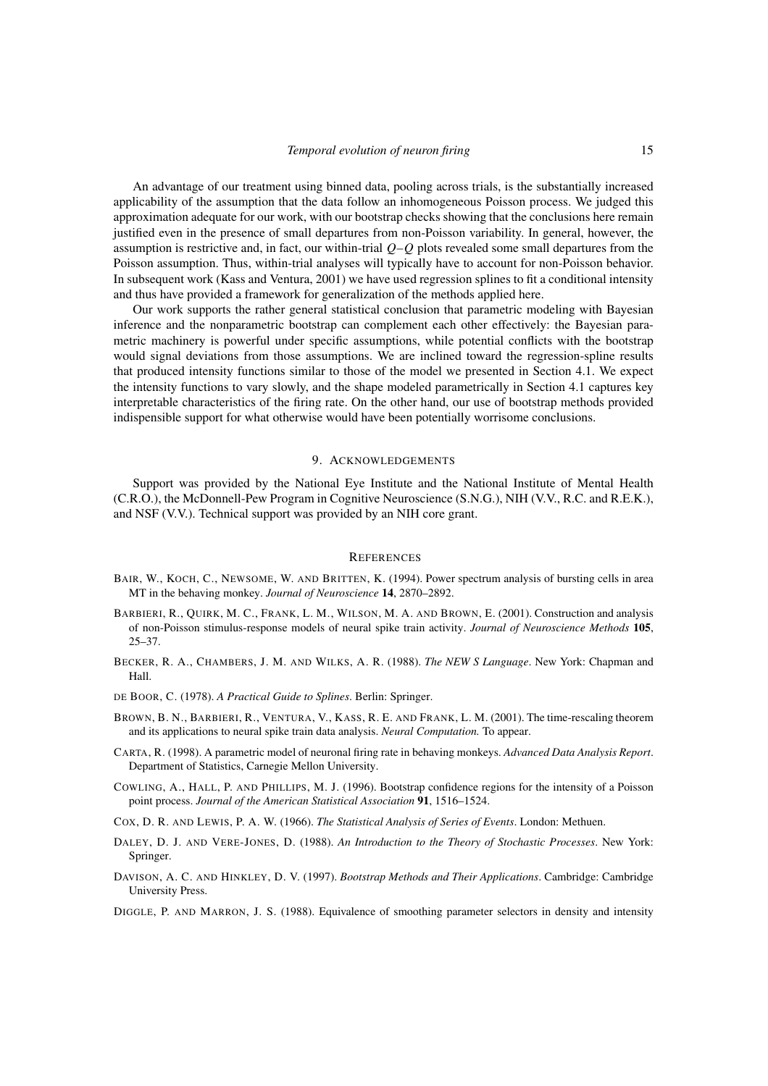An advantage of our treatment using binned data, pooling across trials, is the substantially increased applicability of the assumption that the data follow an inhomogeneous Poisson process. We judged this approximation adequate for our work, with our bootstrap checks showing that the conclusions here remain justified even in the presence of small departures from non-Poisson variability. In general, however, the assumption is restrictive and, in fact, our within-trial *Q*–*Q* plots revealed some small departures from the Poisson assumption. Thus, within-trial analyses will typically have to account for non-Poisson behavior. In subsequent work (Kass and Ventura, 2001) we have used regression splines to fit a conditional intensity and thus have provided a framework for generalization of the methods applied here.

Our work supports the rather general statistical conclusion that parametric modeling with Bayesian inference and the nonparametric bootstrap can complement each other effectively: the Bayesian parametric machinery is powerful under specific assumptions, while potential conflicts with the bootstrap would signal deviations from those assumptions. We are inclined toward the regression-spline results that produced intensity functions similar to those of the model we presented in Section 4.1. We expect the intensity functions to vary slowly, and the shape modeled parametrically in Section 4.1 captures key interpretable characteristics of the firing rate. On the other hand, our use of bootstrap methods provided indispensible support for what otherwise would have been potentially worrisome conclusions.

# 9. ACKNOWLEDGEMENTS

Support was provided by the National Eye Institute and the National Institute of Mental Health (C.R.O.), the McDonnell-Pew Program in Cognitive Neuroscience (S.N.G.), NIH (V.V., R.C. and R.E.K.), and NSF (V.V.). Technical support was provided by an NIH core grant.

#### **REFERENCES**

- BAIR, W., KOCH, C., NEWSOME, W. AND BRITTEN, K. (1994). Power spectrum analysis of bursting cells in area MT in the behaving monkey. *Journal of Neuroscience* **14**, 2870–2892.
- BARBIERI, R., QUIRK, M. C., FRANK, L. M., WILSON, M. A. AND BROWN, E. (2001). Construction and analysis of non-Poisson stimulus-response models of neural spike train activity. *Journal of Neuroscience Methods* **105**, 25–37.
- BECKER, R. A., CHAMBERS, J. M. AND WILKS, A. R. (1988). *The NEW S Language*. New York: Chapman and Hall.
- DE BOOR, C. (1978). *A Practical Guide to Splines*. Berlin: Springer.
- BROWN, B. N., BARBIERI, R., VENTURA, V., KASS, R. E. AND FRANK, L. M. (2001). The time-rescaling theorem and its applications to neural spike train data analysis. *Neural Computation.* To appear.
- CARTA, R. (1998). A parametric model of neuronal firing rate in behaving monkeys. *Advanced Data Analysis Report*. Department of Statistics, Carnegie Mellon University.
- COWLING, A., HALL, P. AND PHILLIPS, M. J. (1996). Bootstrap confidence regions for the intensity of a Poisson point process. *Journal of the American Statistical Association* **91**, 1516–1524.

COX, D. R. AND LEWIS, P. A. W. (1966). *The Statistical Analysis of Series of Events*. London: Methuen.

- DALEY, D. J. AND VERE-JONES, D. (1988). *An Introduction to the Theory of Stochastic Processes*. New York: Springer.
- DAVISON, A. C. AND HINKLEY, D. V. (1997). *Bootstrap Methods and Their Applications*. Cambridge: Cambridge University Press.
- DIGGLE, P. AND MARRON, J. S. (1988). Equivalence of smoothing parameter selectors in density and intensity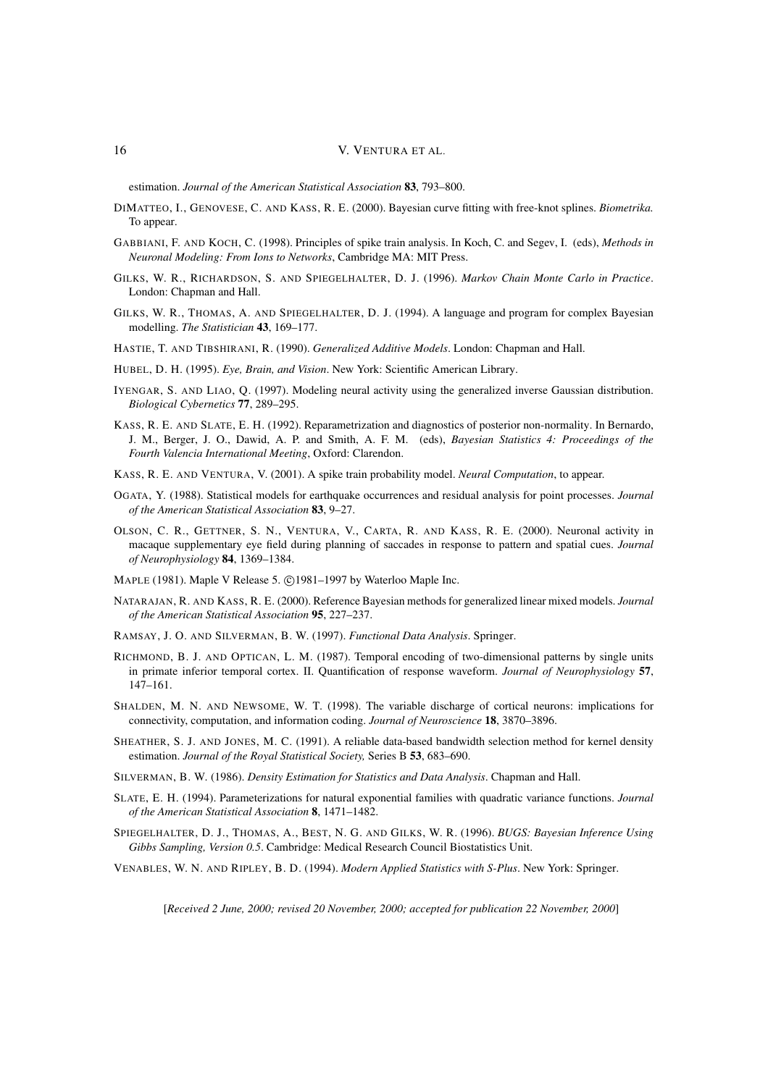estimation. *Journal of the American Statistical Association* **83**, 793–800.

- DIMATTEO, I., GENOVESE, C. AND KASS, R. E. (2000). Bayesian curve fitting with free-knot splines. *Biometrika.* To appear.
- GABBIANI, F. AND KOCH, C. (1998). Principles of spike train analysis. In Koch, C. and Segev, I. (eds), *Methods in Neuronal Modeling: From Ions to Networks*, Cambridge MA: MIT Press.
- GILKS, W. R., RICHARDSON, S. AND SPIEGELHALTER, D. J. (1996). *Markov Chain Monte Carlo in Practice*. London: Chapman and Hall.
- GILKS, W. R., THOMAS, A. AND SPIEGELHALTER, D. J. (1994). A language and program for complex Bayesian modelling. *The Statistician* **43**, 169–177.
- HASTIE, T. AND TIBSHIRANI, R. (1990). *Generalized Additive Models*. London: Chapman and Hall.
- HUBEL, D. H. (1995). *Eye, Brain, and Vision*. New York: Scientific American Library.
- IYENGAR, S. AND LIAO, Q. (1997). Modeling neural activity using the generalized inverse Gaussian distribution. *Biological Cybernetics* **77**, 289–295.
- KASS, R. E. AND SLATE, E. H. (1992). Reparametrization and diagnostics of posterior non-normality. In Bernardo, J. M., Berger, J. O., Dawid, A. P. and Smith, A. F. M. (eds), *Bayesian Statistics 4: Proceedings of the Fourth Valencia International Meeting*, Oxford: Clarendon.
- KASS, R. E. AND VENTURA, V. (2001). A spike train probability model. *Neural Computation*, to appear.
- OGATA, Y. (1988). Statistical models for earthquake occurrences and residual analysis for point processes. *Journal of the American Statistical Association* **83**, 9–27.
- OLSON, C. R., GETTNER, S. N., VENTURA, V., CARTA, R. AND KASS, R. E. (2000). Neuronal activity in macaque supplementary eye field during planning of saccades in response to pattern and spatial cues. *Journal of Neurophysiology* **84**, 1369–1384.
- MAPLE (1981). Maple V Release 5. ©1981-1997 by Waterloo Maple Inc.
- NATARAJAN, R. AND KASS, R. E. (2000). Reference Bayesian methods for generalized linear mixed models. *Journal of the American Statistical Association* **95**, 227–237.
- RAMSAY, J. O. AND SILVERMAN, B. W. (1997). *Functional Data Analysis*. Springer.
- RICHMOND, B. J. AND OPTICAN, L. M. (1987). Temporal encoding of two-dimensional patterns by single units in primate inferior temporal cortex. II. Quantification of response waveform. *Journal of Neurophysiology* **57**, 147–161.
- SHALDEN, M. N. AND NEWSOME, W. T. (1998). The variable discharge of cortical neurons: implications for connectivity, computation, and information coding. *Journal of Neuroscience* **18**, 3870–3896.
- SHEATHER, S. J. AND JONES, M. C. (1991). A reliable data-based bandwidth selection method for kernel density estimation. *Journal of the Royal Statistical Society,* Series B **53**, 683–690.
- SILVERMAN, B. W. (1986). *Density Estimation for Statistics and Data Analysis*. Chapman and Hall.
- SLATE, E. H. (1994). Parameterizations for natural exponential families with quadratic variance functions. *Journal of the American Statistical Association* **8**, 1471–1482.
- SPIEGELHALTER, D. J., THOMAS, A., BEST, N. G. AND GILKS, W. R. (1996). *BUGS: Bayesian Inference Using Gibbs Sampling, Version 0.5*. Cambridge: Medical Research Council Biostatistics Unit.
- VENABLES, W. N. AND RIPLEY, B. D. (1994). *Modern Applied Statistics with S-Plus*. New York: Springer.

[*Received 2 June, 2000; revised 20 November, 2000; accepted for publication 22 November, 2000*]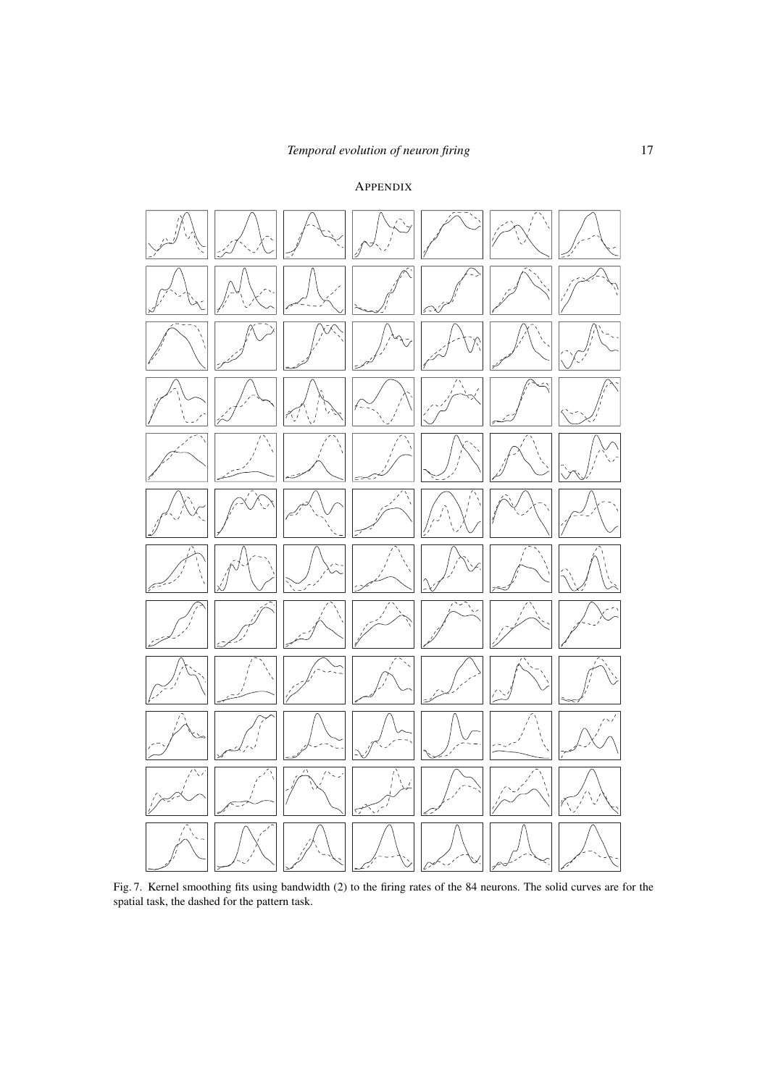

Fig. 7. Kernel smoothing fits using bandwidth (2) to the firing rates of the 84 neurons. The solid curves are for the spatial task, the dashed for the pattern task.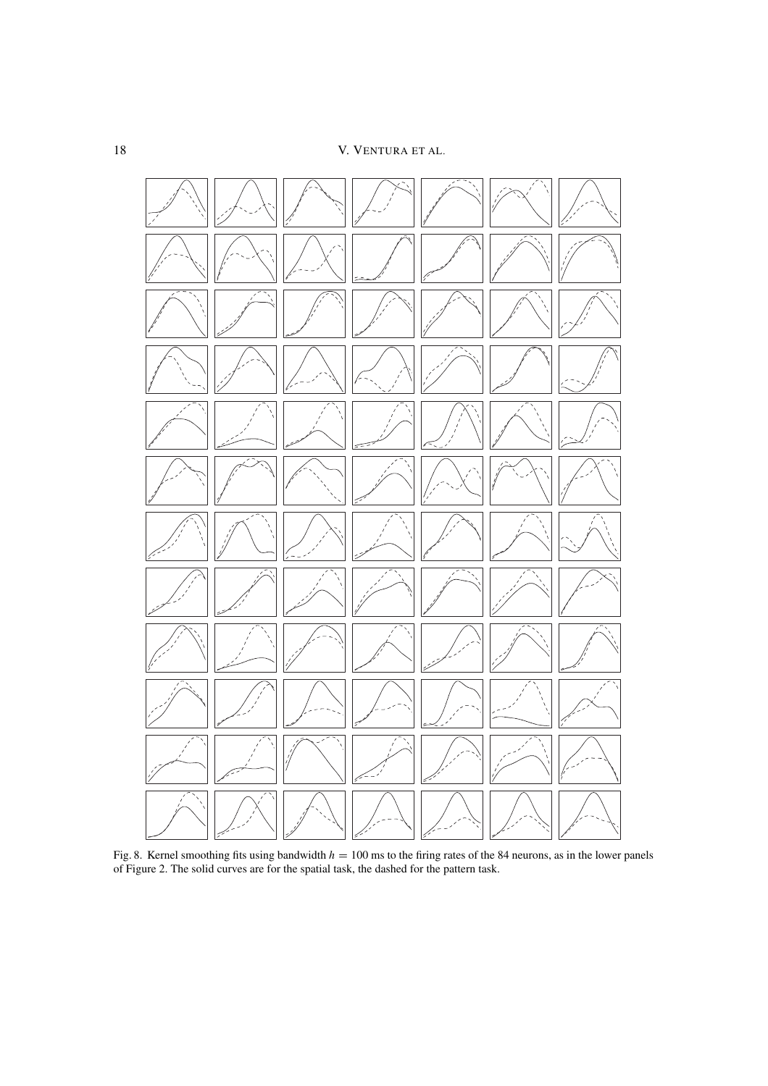

Fig. 8. Kernel smoothing fits using bandwidth  $h = 100$  ms to the firing rates of the 84 neurons, as in the lower panels of Figure 2. The solid curves are for the spatial task, the dashed for the pattern task.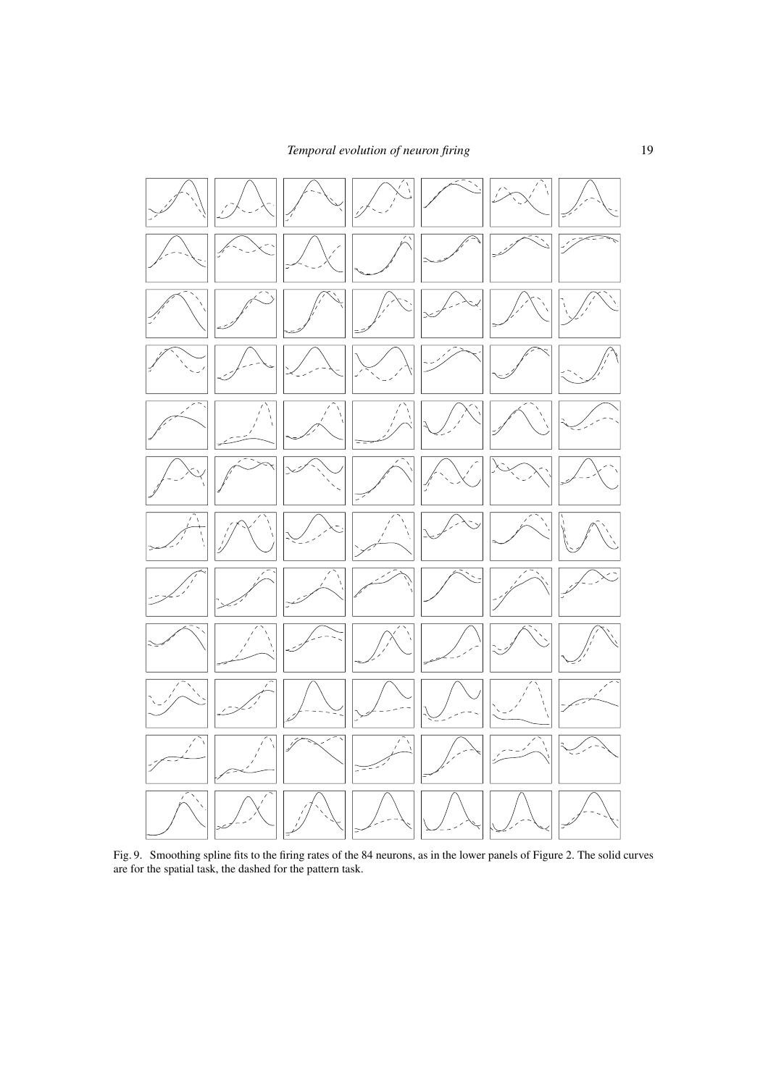

Fig. 9. Smoothing spline fits to the firing rates of the 84 neurons, as in the lower panels of Figure 2. The solid curves are for the spatial task, the dashed for the pattern task.